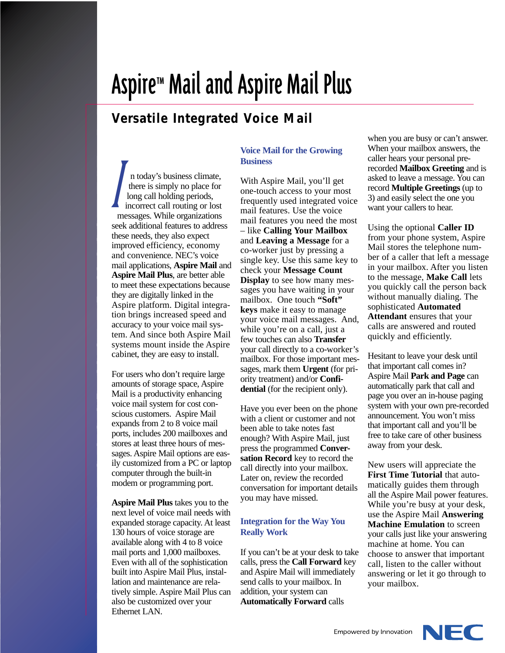# Aspire™ Mail and Aspire Mail Plus

## **Versatile Integrated Voice Mail**

n today's business climate, there is simply no place for long call holding periods, incorrect call routing or lost messages. While organizations seek additional features to address these needs, they also expect improved efficiency, economy and convenience. NEC's voice mail applications, **Aspire Mail** and **Aspire Mail Plus**, are better able to meet these expectations because they are digitally linked in the Aspire platform. Digital integration brings increased speed and accuracy to your voice mail system. And since both Aspire Mail systems mount inside the Aspire cabinet, they are easy to install. **I** 

For users who don't require large amounts of storage space, Aspire Mail is a productivity enhancing voice mail system for cost conscious customers. Aspire Mail expands from 2 to 8 voice mail ports, includes 200 mailboxes and stores at least three hours of messages. Aspire Mail options are easily customized from a PC or laptop computer through the built-in modem or programming port.

**Aspire Mail Plus** takes you to the next level of voice mail needs with expanded storage capacity. At least 130 hours of voice storage are available along with 4 to 8 voice mail ports and 1,000 mailboxes. Even with all of the sophistication built into Aspire Mail Plus, installation and maintenance are relatively simple. Aspire Mail Plus can also be customized over your Ethernet LAN.

### **Voice Mail for the Growing Business**

With Aspire Mail, you'll get one-touch access to your most frequently used integrated voice mail features. Use the voice mail features you need the most – like **Calling Your Mailbox** and **Leaving a Message** for a co-worker just by pressing a single key. Use this same key to check your **Message Count Display** to see how many messages you have waiting in your mailbox. One touch **"Soft" keys** make it easy to manage your voice mail messages. And, while you're on a call, just a few touches can also **Transfer** your call directly to a co-worker's mailbox. For those important messages, mark them **Urgent** (for priority treatment) and/or **Confidential** (for the recipient only).

Have you ever been on the phone with a client or customer and not been able to take notes fast enough? With Aspire Mail, just press the programmed **Conversation Record** key to record the call directly into your mailbox. Later on, review the recorded conversation for important details you may have missed.

#### **Integration for the Way You Really Work**

If you can't be at your desk to take calls, press the **Call Forward** key and Aspire Mail will immediately send calls to your mailbox. In addition, your system can **Automatically Forward** calls

when you are busy or can't answer. When your mailbox answers, the caller hears your personal prerecorded **Mailbox Greeting** and is asked to leave a message. You can record **Multiple Greetings** (up to 3) and easily select the one you want your callers to hear.

Using the optional **Caller ID** from your phone system, Aspire Mail stores the telephone number of a caller that left a message in your mailbox. After you listen to the message, **Make Call** lets you quickly call the person back without manually dialing. The sophisticated **Automated Attendant** ensures that your calls are answered and routed quickly and efficiently.

Hesitant to leave your desk until that important call comes in? Aspire Mail **Park and Page** can automatically park that call and page you over an in-house paging system with your own pre-recorded announcement. You won't miss that important call and you'll be free to take care of other business away from your desk.

New users will appreciate the **First Time Tutorial** that automatically guides them through all the Aspire Mail power features. While you're busy at your desk, use the Aspire Mail **Answering Machine Emulation** to screen your calls just like your answering machine at home. You can choose to answer that important call, listen to the caller without answering or let it go through to your mailbox.